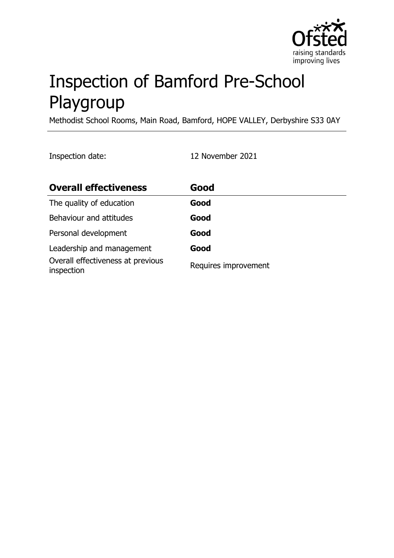

# Inspection of Bamford Pre-School Playgroup

Methodist School Rooms, Main Road, Bamford, HOPE VALLEY, Derbyshire S33 0AY

Inspection date: 12 November 2021

| <b>Overall effectiveness</b>                    | Good                 |
|-------------------------------------------------|----------------------|
| The quality of education                        | Good                 |
| Behaviour and attitudes                         | Good                 |
| Personal development                            | Good                 |
| Leadership and management                       | Good                 |
| Overall effectiveness at previous<br>inspection | Requires improvement |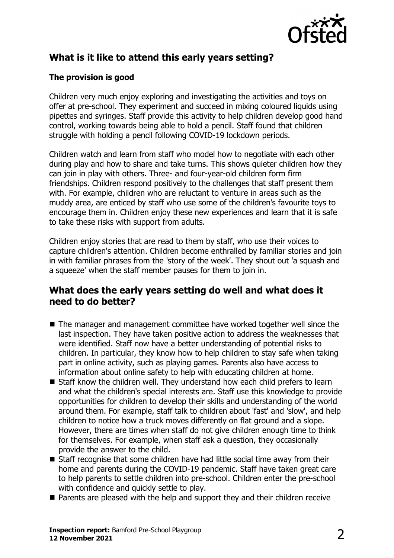

# **What is it like to attend this early years setting?**

### **The provision is good**

Children very much enjoy exploring and investigating the activities and toys on offer at pre-school. They experiment and succeed in mixing coloured liquids using pipettes and syringes. Staff provide this activity to help children develop good hand control, working towards being able to hold a pencil. Staff found that children struggle with holding a pencil following COVID-19 lockdown periods.

Children watch and learn from staff who model how to negotiate with each other during play and how to share and take turns. This shows quieter children how they can join in play with others. Three- and four-year-old children form firm friendships. Children respond positively to the challenges that staff present them with. For example, children who are reluctant to venture in areas such as the muddy area, are enticed by staff who use some of the children's favourite toys to encourage them in. Children enjoy these new experiences and learn that it is safe to take these risks with support from adults.

Children enjoy stories that are read to them by staff, who use their voices to capture children's attention. Children become enthralled by familiar stories and join in with familiar phrases from the 'story of the week'. They shout out 'a squash and a squeeze' when the staff member pauses for them to join in.

## **What does the early years setting do well and what does it need to do better?**

- $\blacksquare$  The manager and management committee have worked together well since the last inspection. They have taken positive action to address the weaknesses that were identified. Staff now have a better understanding of potential risks to children. In particular, they know how to help children to stay safe when taking part in online activity, such as playing games. Parents also have access to information about online safety to help with educating children at home.
- $\blacksquare$  Staff know the children well. They understand how each child prefers to learn and what the children's special interests are. Staff use this knowledge to provide opportunities for children to develop their skills and understanding of the world around them. For example, staff talk to children about 'fast' and 'slow', and help children to notice how a truck moves differently on flat ground and a slope. However, there are times when staff do not give children enough time to think for themselves. For example, when staff ask a question, they occasionally provide the answer to the child.
- Staff recognise that some children have had little social time away from their home and parents during the COVID-19 pandemic. Staff have taken great care to help parents to settle children into pre-school. Children enter the pre-school with confidence and quickly settle to play.
- $\blacksquare$  Parents are pleased with the help and support they and their children receive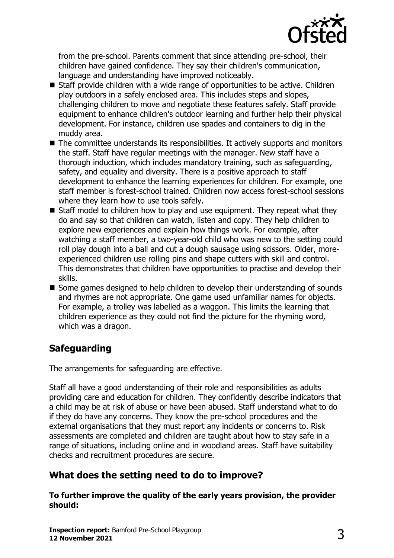

from the pre-school. Parents comment that since attending pre-school, their children have gained confidence. They say their children's communication, language and understanding have improved noticeably.

- $\blacksquare$  Staff provide children with a wide range of opportunities to be active. Children play outdoors in a safely enclosed area. This includes steps and slopes, challenging children to move and negotiate these features safely. Staff provide equipment to enhance children's outdoor learning and further help their physical development. For instance, children use spades and containers to dig in the muddy area.
- The committee understands its responsibilities. It actively supports and monitors the staff. Staff have regular meetings with the manager. New staff have a thorough induction, which includes mandatory training, such as safeguarding, safety, and equality and diversity. There is a positive approach to staff development to enhance the learning experiences for children. For example, one staff member is forest-school trained. Children now access forest-school sessions where they learn how to use tools safely.
- $\blacksquare$  Staff model to children how to play and use equipment. They repeat what they do and say so that children can watch, listen and copy. They help children to explore new experiences and explain how things work. For example, after watching a staff member, a two-year-old child who was new to the setting could roll play dough into a ball and cut a dough sausage using scissors. Older, moreexperienced children use rolling pins and shape cutters with skill and control. This demonstrates that children have opportunities to practise and develop their skills.
- Some games designed to help children to develop their understanding of sounds and rhymes are not appropriate. One game used unfamiliar names for objects. For example, a trolley was labelled as a waggon. This limits the learning that children experience as they could not find the picture for the rhyming word, which was a dragon.

# **Safeguarding**

The arrangements for safeguarding are effective.

Staff all have a good understanding of their role and responsibilities as adults providing care and education for children. They confidently describe indicators that a child may be at risk of abuse or have been abused. Staff understand what to do if they do have any concerns. They know the pre-school procedures and the external organisations that they must report any incidents or concerns to. Risk assessments are completed and children are taught about how to stay safe in a range of situations, including online and in woodland areas. Staff have suitability checks and recruitment procedures are secure.

## **What does the setting need to do to improve?**

**To further improve the quality of the early years provision, the provider should:**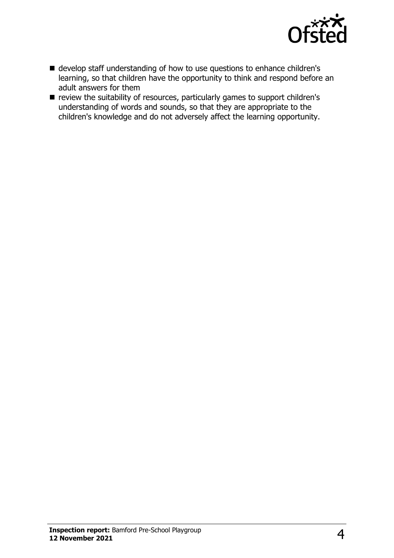

- develop staff understanding of how to use questions to enhance children's learning, so that children have the opportunity to think and respond before an adult answers for them
- review the suitability of resources, particularly games to support children's understanding of words and sounds, so that they are appropriate to the children's knowledge and do not adversely affect the learning opportunity.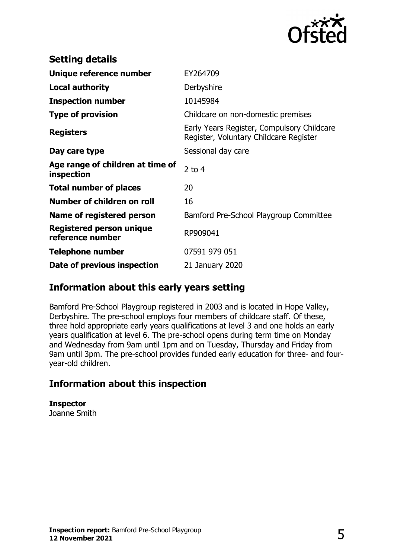

| <b>Setting details</b>                              |                                                                                      |
|-----------------------------------------------------|--------------------------------------------------------------------------------------|
| Unique reference number                             | EY264709                                                                             |
| <b>Local authority</b>                              | Derbyshire                                                                           |
| <b>Inspection number</b>                            | 10145984                                                                             |
| <b>Type of provision</b>                            | Childcare on non-domestic premises                                                   |
| <b>Registers</b>                                    | Early Years Register, Compulsory Childcare<br>Register, Voluntary Childcare Register |
| Day care type                                       | Sessional day care                                                                   |
| Age range of children at time of<br>inspection      | 2 to $4$                                                                             |
| <b>Total number of places</b>                       | 20                                                                                   |
| Number of children on roll                          | 16                                                                                   |
| Name of registered person                           | Bamford Pre-School Playgroup Committee                                               |
| <b>Registered person unique</b><br>reference number | RP909041                                                                             |
| <b>Telephone number</b>                             | 07591 979 051                                                                        |
| Date of previous inspection                         | 21 January 2020                                                                      |

## **Information about this early years setting**

Bamford Pre-School Playgroup registered in 2003 and is located in Hope Valley, Derbyshire. The pre-school employs four members of childcare staff. Of these, three hold appropriate early years qualifications at level 3 and one holds an early years qualification at level 6. The pre-school opens during term time on Monday and Wednesday from 9am until 1pm and on Tuesday, Thursday and Friday from 9am until 3pm. The pre-school provides funded early education for three- and fouryear-old children.

## **Information about this inspection**

**Inspector** Joanne Smith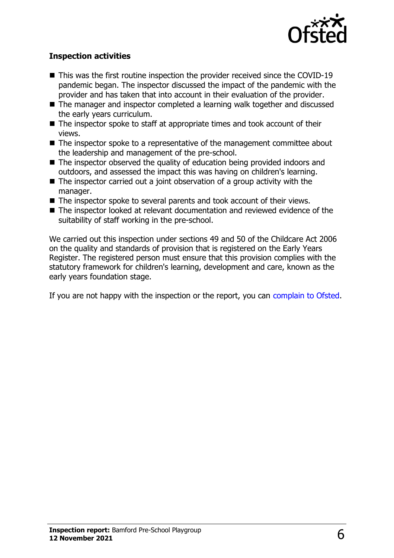

#### **Inspection activities**

- $\blacksquare$  This was the first routine inspection the provider received since the COVID-19 pandemic began. The inspector discussed the impact of the pandemic with the provider and has taken that into account in their evaluation of the provider.
- The manager and inspector completed a learning walk together and discussed the early years curriculum.
- $\blacksquare$  The inspector spoke to staff at appropriate times and took account of their views.
- $\blacksquare$  The inspector spoke to a representative of the management committee about the leadership and management of the pre-school.
- $\blacksquare$  The inspector observed the quality of education being provided indoors and outdoors, and assessed the impact this was having on children's learning.
- $\blacksquare$  The inspector carried out a joint observation of a group activity with the manager.
- $\blacksquare$  The inspector spoke to several parents and took account of their views.
- $\blacksquare$  The inspector looked at relevant documentation and reviewed evidence of the suitability of staff working in the pre-school.

We carried out this inspection under sections 49 and 50 of the Childcare Act 2006 on the quality and standards of provision that is registered on the Early Years Register. The registered person must ensure that this provision complies with the statutory framework for children's learning, development and care, known as the early years foundation stage.

If you are not happy with the inspection or the report, you can [complain to Ofsted](http://www.gov.uk/complain-ofsted-report).